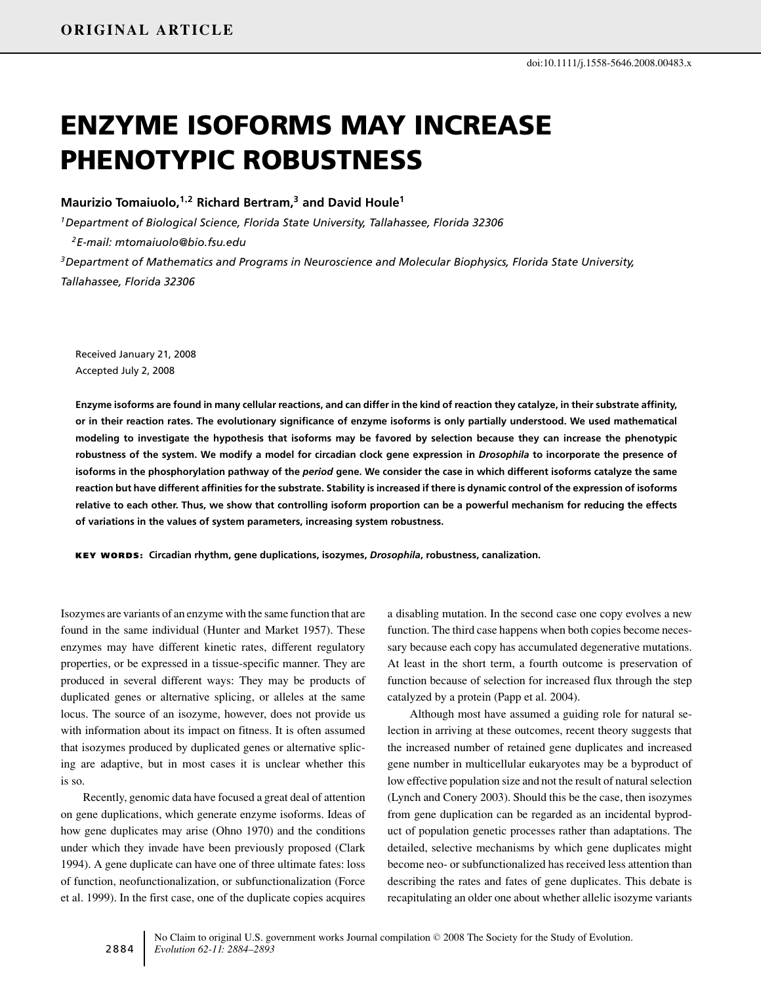# ENZYME ISOFORMS MAY INCREASE PHENOTYPIC ROBUSTNESS

### **Maurizio Tomaiuolo,1,<sup>2</sup> Richard Bertram,<sup>3</sup> and David Houle1**

*1Department of Biological Science, Florida State University, Tallahassee, Florida 32306*

*2E-mail: mtomaiuolo@bio.fsu.edu*

*3Department of Mathematics and Programs in Neuroscience and Molecular Biophysics, Florida State University, Tallahassee, Florida 32306*

Received January 21, 2008 Accepted July 2, 2008

**Enzyme isoforms are found in many cellular reactions, and can differ in the kind of reaction they catalyze, in their substrate affinity, or in their reaction rates. The evolutionary significance of enzyme isoforms is only partially understood. We used mathematical modeling to investigate the hypothesis that isoforms may be favored by selection because they can increase the phenotypic robustness of the system. We modify a model for circadian clock gene expression in** *Drosophila* **to incorporate the presence of isoforms in the phosphorylation pathway of the** *period* **gene. We consider the case in which different isoforms catalyze the same reaction but have different affinities for the substrate. Stability is increased if there is dynamic control of the expression of isoforms relative to each other. Thus, we show that controlling isoform proportion can be a powerful mechanism for reducing the effects of variations in the values of system parameters, increasing system robustness.**

KEY WORDS: **Circadian rhythm, gene duplications, isozymes,** *Drosophila***, robustness, canalization.**

Isozymes are variants of an enzyme with the same function that are found in the same individual (Hunter and Market 1957). These enzymes may have different kinetic rates, different regulatory properties, or be expressed in a tissue-specific manner. They are produced in several different ways: They may be products of duplicated genes or alternative splicing, or alleles at the same locus. The source of an isozyme, however, does not provide us with information about its impact on fitness. It is often assumed that isozymes produced by duplicated genes or alternative splicing are adaptive, but in most cases it is unclear whether this is so.

Recently, genomic data have focused a great deal of attention on gene duplications, which generate enzyme isoforms. Ideas of how gene duplicates may arise (Ohno 1970) and the conditions under which they invade have been previously proposed (Clark 1994). A gene duplicate can have one of three ultimate fates: loss of function, neofunctionalization, or subfunctionalization (Force et al. 1999). In the first case, one of the duplicate copies acquires

a disabling mutation. In the second case one copy evolves a new function. The third case happens when both copies become necessary because each copy has accumulated degenerative mutations. At least in the short term, a fourth outcome is preservation of function because of selection for increased flux through the step catalyzed by a protein (Papp et al. 2004).

Although most have assumed a guiding role for natural selection in arriving at these outcomes, recent theory suggests that the increased number of retained gene duplicates and increased gene number in multicellular eukaryotes may be a byproduct of low effective population size and not the result of natural selection (Lynch and Conery 2003). Should this be the case, then isozymes from gene duplication can be regarded as an incidental byproduct of population genetic processes rather than adaptations. The detailed, selective mechanisms by which gene duplicates might become neo- or subfunctionalized has received less attention than describing the rates and fates of gene duplicates. This debate is recapitulating an older one about whether allelic isozyme variants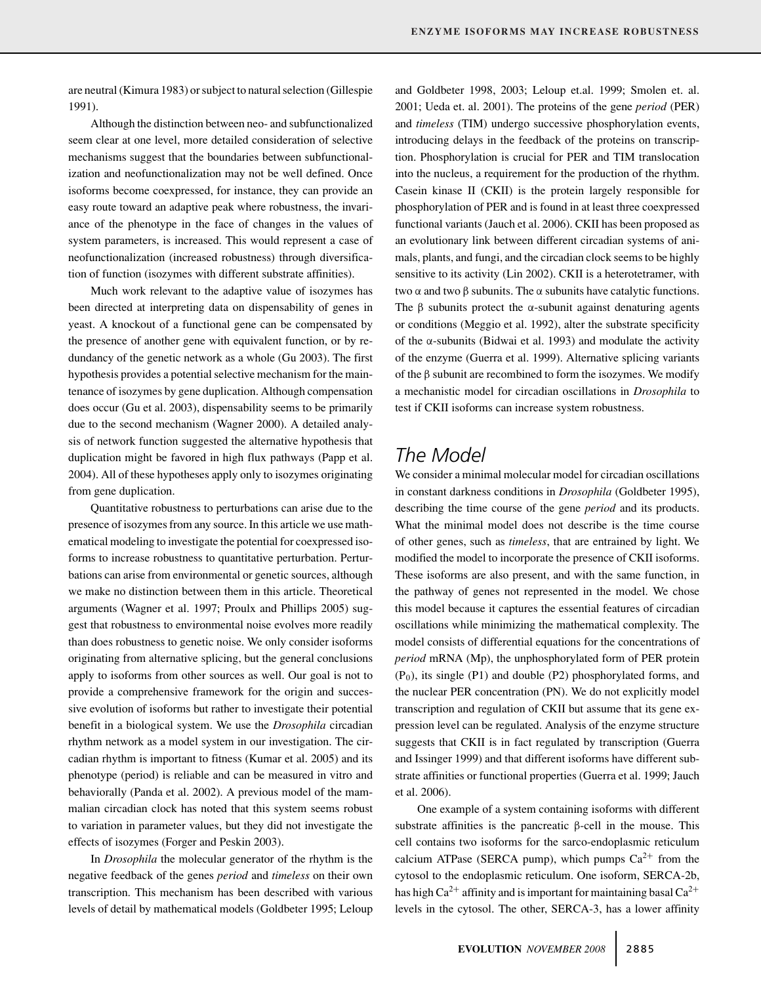are neutral (Kimura 1983) or subject to natural selection (Gillespie 1991).

Although the distinction between neo- and subfunctionalized seem clear at one level, more detailed consideration of selective mechanisms suggest that the boundaries between subfunctionalization and neofunctionalization may not be well defined. Once isoforms become coexpressed, for instance, they can provide an easy route toward an adaptive peak where robustness, the invariance of the phenotype in the face of changes in the values of system parameters, is increased. This would represent a case of neofunctionalization (increased robustness) through diversification of function (isozymes with different substrate affinities).

Much work relevant to the adaptive value of isozymes has been directed at interpreting data on dispensability of genes in yeast. A knockout of a functional gene can be compensated by the presence of another gene with equivalent function, or by redundancy of the genetic network as a whole (Gu 2003). The first hypothesis provides a potential selective mechanism for the maintenance of isozymes by gene duplication. Although compensation does occur (Gu et al. 2003), dispensability seems to be primarily due to the second mechanism (Wagner 2000). A detailed analysis of network function suggested the alternative hypothesis that duplication might be favored in high flux pathways (Papp et al. 2004). All of these hypotheses apply only to isozymes originating from gene duplication.

Quantitative robustness to perturbations can arise due to the presence of isozymes from any source. In this article we use mathematical modeling to investigate the potential for coexpressed isoforms to increase robustness to quantitative perturbation. Perturbations can arise from environmental or genetic sources, although we make no distinction between them in this article. Theoretical arguments (Wagner et al. 1997; Proulx and Phillips 2005) suggest that robustness to environmental noise evolves more readily than does robustness to genetic noise. We only consider isoforms originating from alternative splicing, but the general conclusions apply to isoforms from other sources as well. Our goal is not to provide a comprehensive framework for the origin and successive evolution of isoforms but rather to investigate their potential benefit in a biological system. We use the *Drosophila* circadian rhythm network as a model system in our investigation. The circadian rhythm is important to fitness (Kumar et al. 2005) and its phenotype (period) is reliable and can be measured in vitro and behaviorally (Panda et al. 2002). A previous model of the mammalian circadian clock has noted that this system seems robust to variation in parameter values, but they did not investigate the effects of isozymes (Forger and Peskin 2003).

In *Drosophila* the molecular generator of the rhythm is the negative feedback of the genes *period* and *timeless* on their own transcription. This mechanism has been described with various levels of detail by mathematical models (Goldbeter 1995; Leloup

and Goldbeter 1998, 2003; Leloup et.al. 1999; Smolen et. al. 2001; Ueda et. al. 2001). The proteins of the gene *period* (PER) and *timeless* (TIM) undergo successive phosphorylation events, introducing delays in the feedback of the proteins on transcription. Phosphorylation is crucial for PER and TIM translocation into the nucleus, a requirement for the production of the rhythm. Casein kinase II (CKII) is the protein largely responsible for phosphorylation of PER and is found in at least three coexpressed functional variants (Jauch et al. 2006). CKII has been proposed as an evolutionary link between different circadian systems of animals, plants, and fungi, and the circadian clock seems to be highly sensitive to its activity (Lin 2002). CKII is a heterotetramer, with two α and two β subunits. The α subunits have catalytic functions. The  $\beta$  subunits protect the  $\alpha$ -subunit against denaturing agents or conditions (Meggio et al. 1992), alter the substrate specificity of the  $\alpha$ -subunits (Bidwai et al. 1993) and modulate the activity of the enzyme (Guerra et al. 1999). Alternative splicing variants of the β subunit are recombined to form the isozymes. We modify a mechanistic model for circadian oscillations in *Drosophila* to test if CKII isoforms can increase system robustness.

# *The Model*

We consider a minimal molecular model for circadian oscillations in constant darkness conditions in *Drosophila* (Goldbeter 1995), describing the time course of the gene *period* and its products. What the minimal model does not describe is the time course of other genes, such as *timeless*, that are entrained by light. We modified the model to incorporate the presence of CKII isoforms. These isoforms are also present, and with the same function, in the pathway of genes not represented in the model. We chose this model because it captures the essential features of circadian oscillations while minimizing the mathematical complexity. The model consists of differential equations for the concentrations of *period* mRNA (Mp), the unphosphorylated form of PER protein  $(P_0)$ , its single  $(P_1)$  and double  $(P_2)$  phosphorylated forms, and the nuclear PER concentration (PN). We do not explicitly model transcription and regulation of CKII but assume that its gene expression level can be regulated. Analysis of the enzyme structure suggests that CKII is in fact regulated by transcription (Guerra and Issinger 1999) and that different isoforms have different substrate affinities or functional properties (Guerra et al. 1999; Jauch et al. 2006).

One example of a system containing isoforms with different substrate affinities is the pancreatic β-cell in the mouse. This cell contains two isoforms for the sarco-endoplasmic reticulum calcium ATPase (SERCA pump), which pumps  $Ca^{2+}$  from the cytosol to the endoplasmic reticulum. One isoform, SERCA-2b, has high Ca<sup>2+</sup> affinity and is important for maintaining basal Ca<sup>2+</sup> levels in the cytosol. The other, SERCA-3, has a lower affinity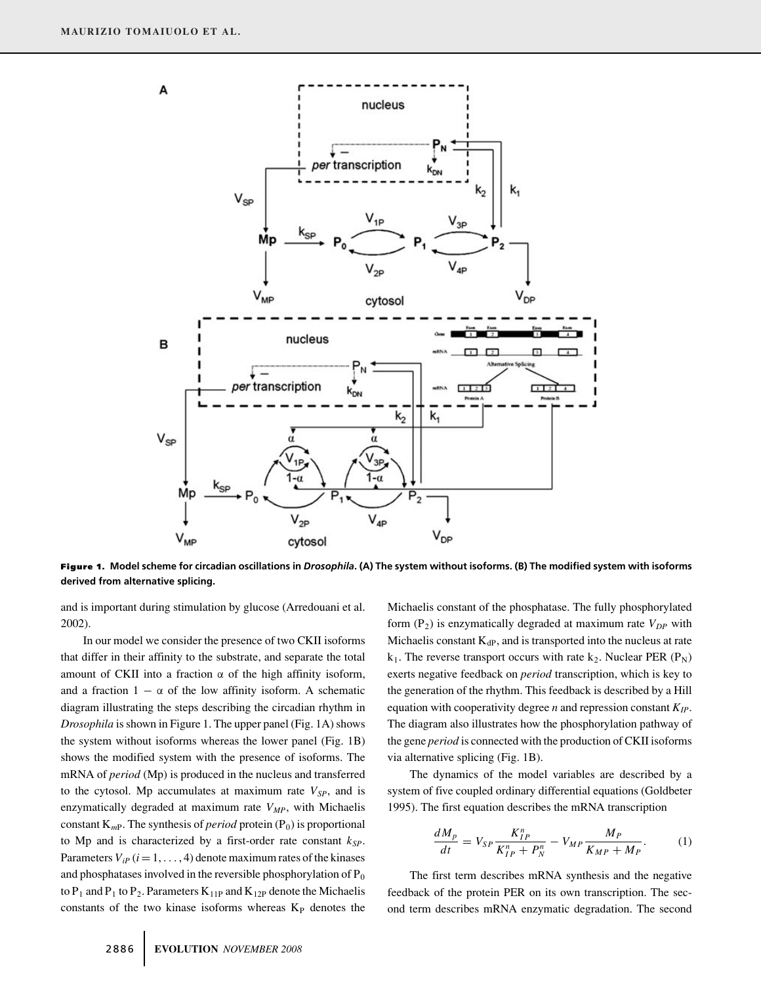

Figure 1. **Model scheme for circadian oscillations in** *Drosophila***. (A) The system without isoforms. (B) The modified system with isoforms derived from alternative splicing.**

and is important during stimulation by glucose (Arredouani et al. 2002).

In our model we consider the presence of two CKII isoforms that differ in their affinity to the substrate, and separate the total amount of CKII into a fraction  $\alpha$  of the high affinity isoform, and a fraction  $1 - \alpha$  of the low affinity isoform. A schematic diagram illustrating the steps describing the circadian rhythm in *Drosophila* is shown in Figure 1. The upper panel (Fig. 1A) shows the system without isoforms whereas the lower panel (Fig. 1B) shows the modified system with the presence of isoforms. The mRNA of *period* (Mp) is produced in the nucleus and transferred to the cytosol. Mp accumulates at maximum rate  $V_{SP}$ , and is enzymatically degraded at maximum rate  $V_{MP}$ , with Michaelis constant K*m*P. The synthesis of *period* protein (P0) is proportional to Mp and is characterized by a first-order rate constant  $k_{SP}$ . Parameters  $V_{ip}$  ( $i = 1, ..., 4$ ) denote maximum rates of the kinases and phosphatases involved in the reversible phosphorylation of  $P_0$ to  $P_1$  and  $P_1$  to  $P_2$ . Parameters  $K_{11P}$  and  $K_{12P}$  denote the Michaelis constants of the two kinase isoforms whereas  $K_{P}$  denotes the

Michaelis constant of the phosphatase. The fully phosphorylated form  $(P_2)$  is enzymatically degraded at maximum rate  $V_{DP}$  with Michaelis constant  $K_{dP}$ , and is transported into the nucleus at rate  $k_1$ . The reverse transport occurs with rate  $k_2$ . Nuclear PER ( $P_N$ ) exerts negative feedback on *period* transcription, which is key to the generation of the rhythm. This feedback is described by a Hill equation with cooperativity degree *n* and repression constant  $K_{IP}$ . The diagram also illustrates how the phosphorylation pathway of the gene *period* is connected with the production of CKII isoforms via alternative splicing (Fig. 1B).

The dynamics of the model variables are described by a system of five coupled ordinary differential equations (Goldbeter 1995). The first equation describes the mRNA transcription

$$
\frac{dM_p}{dt} = V_{SP} \frac{K_{IP}^n}{K_{IP}^n + P_N^n} - V_{MP} \frac{M_P}{K_{MP} + M_P}.
$$
 (1)

The first term describes mRNA synthesis and the negative feedback of the protein PER on its own transcription. The second term describes mRNA enzymatic degradation. The second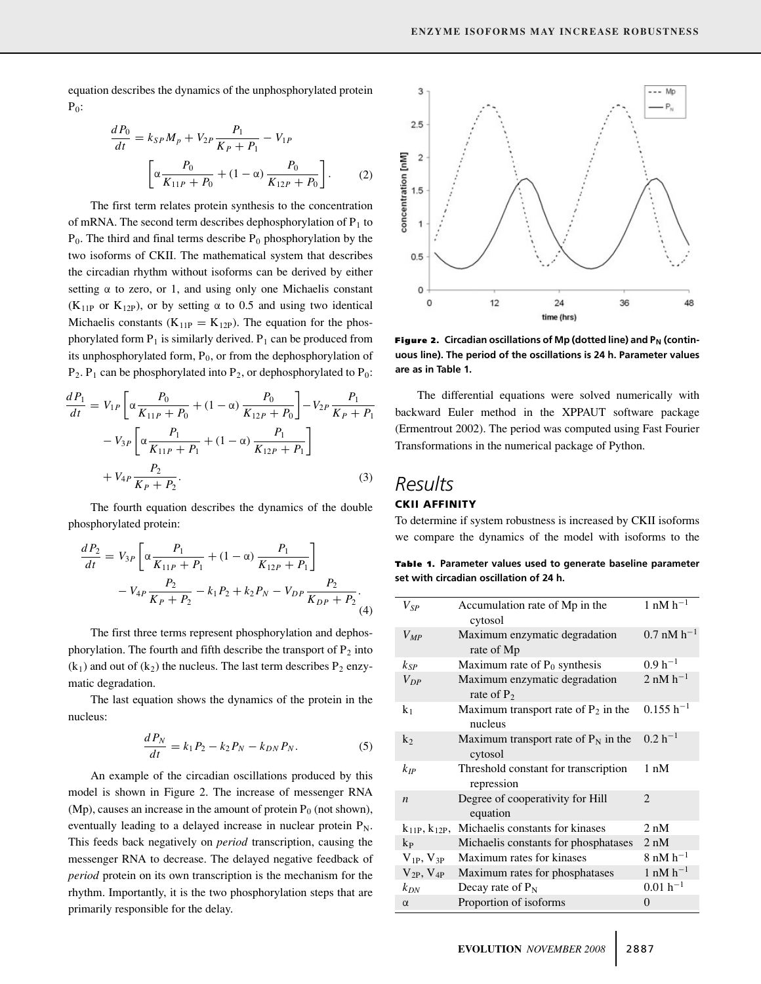equation describes the dynamics of the unphosphorylated protein  $P_0$ :

$$
\frac{dP_0}{dt} = k_{SP}M_p + V_{2P}\frac{P_1}{K_P + P_1} - V_{1P}
$$

$$
\left[\alpha \frac{P_0}{K_{11P} + P_0} + (1 - \alpha) \frac{P_0}{K_{12P} + P_0}\right].
$$
 (2)

The first term relates protein synthesis to the concentration of mRNA. The second term describes dephosphorylation of  $P_1$  to  $P_0$ . The third and final terms describe  $P_0$  phosphorylation by the two isoforms of CKII. The mathematical system that describes the circadian rhythm without isoforms can be derived by either setting  $\alpha$  to zero, or 1, and using only one Michaelis constant (K<sub>11P</sub> or K<sub>12P</sub>), or by setting  $\alpha$  to 0.5 and using two identical Michaelis constants ( $K_{11P} = K_{12P}$ ). The equation for the phosphorylated form  $P_1$  is similarly derived.  $P_1$  can be produced from its unphosphorylated form,  $P_0$ , or from the dephosphorylation of  $P_2$ .  $P_1$  can be phosphorylated into  $P_2$ , or dephosphorylated to  $P_0$ :

$$
\frac{dP_1}{dt} = V_{1P} \left[ \alpha \frac{P_0}{K_{11P} + P_0} + (1 - \alpha) \frac{P_0}{K_{12P} + P_0} \right] - V_{2P} \frac{P_1}{K_P + P_1} - V_{3P} \left[ \alpha \frac{P_1}{K_{11P} + P_1} + (1 - \alpha) \frac{P_1}{K_{12P} + P_1} \right] + V_{4P} \frac{P_2}{K_P + P_2}.
$$
\n(3)

The fourth equation describes the dynamics of the double phosphorylated protein:

$$
\frac{dP_2}{dt} = V_{3P} \left[ \alpha \frac{P_1}{K_{11P} + P_1} + (1 - \alpha) \frac{P_1}{K_{12P} + P_1} \right] - V_{4P} \frac{P_2}{K_P + P_2} - k_1 P_2 + k_2 P_N - V_{DP} \frac{P_2}{K_{DP} + P_2}.
$$
\n(4)

The first three terms represent phosphorylation and dephosphorylation. The fourth and fifth describe the transport of  $P_2$  into  $(k_1)$  and out of  $(k_2)$  the nucleus. The last term describes  $P_2$  enzymatic degradation.

The last equation shows the dynamics of the protein in the nucleus:

$$
\frac{dP_N}{dt} = k_1 P_2 - k_2 P_N - k_{DN} P_N.
$$
 (5)

An example of the circadian oscillations produced by this model is shown in Figure 2. The increase of messenger RNA (Mp), causes an increase in the amount of protein  $P_0$  (not shown), eventually leading to a delayed increase in nuclear protein  $P_N$ . This feeds back negatively on *period* transcription, causing the messenger RNA to decrease. The delayed negative feedback of *period* protein on its own transcription is the mechanism for the rhythm. Importantly, it is the two phosphorylation steps that are primarily responsible for the delay.



**Figure 2. Circadian oscillations of Mp (dotted line) and P<sub>N</sub> (continuous line). The period of the oscillations is 24 h. Parameter values are as in Table 1.**

The differential equations were solved numerically with backward Euler method in the XPPAUT software package (Ermentrout 2002). The period was computed using Fast Fourier Transformations in the numerical package of Python.

## *Results* CKII AFFINITY

To determine if system robustness is increased by CKII isoforms we compare the dynamics of the model with isoforms to the

**Table 1. Parameter values used to generate baseline parameter set with circadian oscillation of 24 h.**

| $V_{SP}$            | Accumulation rate of Mp in the<br>cytosol          | 1 nM $h^{-1}$                 |
|---------------------|----------------------------------------------------|-------------------------------|
| $V_{MP}$            | Maximum enzymatic degradation<br>rate of Mp        | $0.7$ nM h <sup>-1</sup>      |
| $k_{SP}$            | Maximum rate of $P_0$ synthesis                    | $0.9 h^{-1}$                  |
| $V_{DP}$            | Maximum enzymatic degradation<br>rate of $P_2$     | $2$ nM h <sup>-1</sup>        |
| $k_1$               | Maximum transport rate of $P_2$ in the<br>nucleus  | $0.155 h^{-1}$                |
| k <sub>2</sub>      | Maximum transport rate of $P_N$ in the<br>cytosol  | $0.2 h^{-1}$                  |
| $k_{IP}$            | Threshold constant for transcription<br>repression | $1 \text{ nM}$                |
| $\boldsymbol{n}$    | Degree of cooperativity for Hill<br>equation       | $\mathcal{D}_{\mathcal{L}}$   |
| $k_{11P}, k_{12P},$ | Michaelis constants for kinases                    | 2 nM                          |
| $k_{P}$             | Michaelis constants for phosphatases               | $2 \text{ nM}$                |
| $V_{1P}$ , $V_{3P}$ | Maximum rates for kinases                          | $8 \text{ nM} \text{ h}^{-1}$ |
| $V_{2P}$ , $V_{4P}$ | Maximum rates for phosphatases                     | $1 \text{ nM} \text{ h}^{-1}$ |
| $k_{DN}$            | Decay rate of $P_N$                                | $0.01 h^{-1}$                 |
| $\alpha$            | Proportion of isoforms                             | $\theta$                      |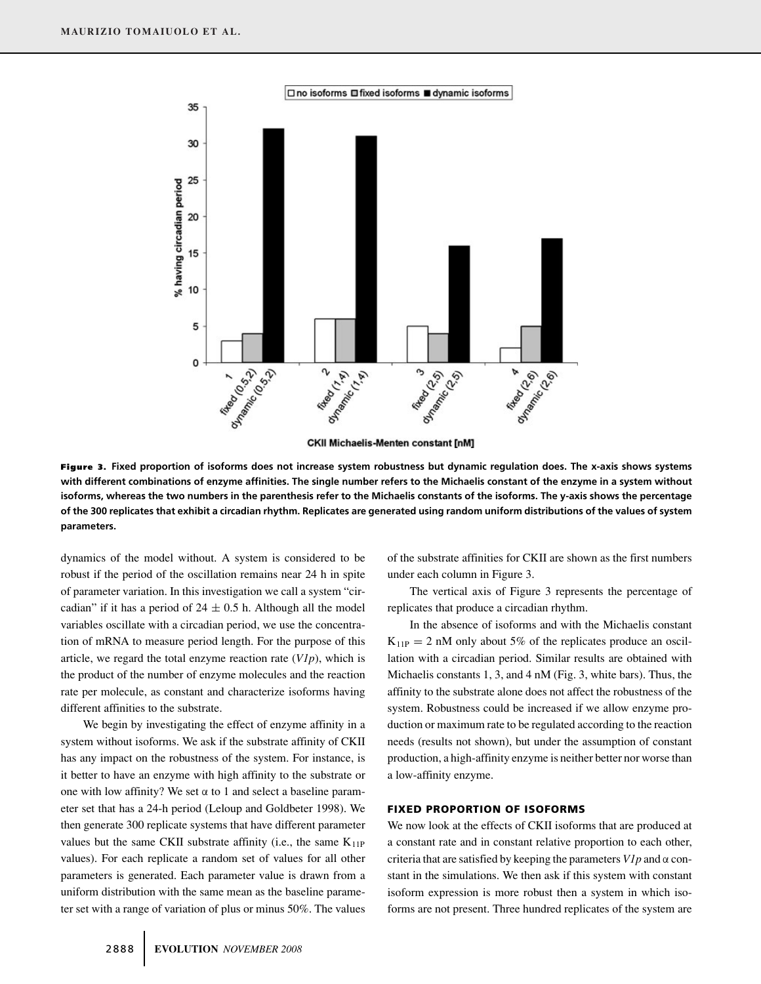

**CKII Michaelis-Menten constant [nM]** 

Figure 3. **Fixed proportion of isoforms does not increase system robustness but dynamic regulation does. The x-axis shows systems with different combinations of enzyme affinities. The single number refers to the Michaelis constant of the enzyme in a system without isoforms, whereas the two numbers in the parenthesis refer to the Michaelis constants of the isoforms. The y-axis shows the percentage of the 300 replicates that exhibit a circadian rhythm. Replicates are generated using random uniform distributions of the values of system parameters.**

dynamics of the model without. A system is considered to be robust if the period of the oscillation remains near 24 h in spite of parameter variation. In this investigation we call a system "circadian" if it has a period of  $24 \pm 0.5$  h. Although all the model variables oscillate with a circadian period, we use the concentration of mRNA to measure period length. For the purpose of this article, we regard the total enzyme reaction rate (*V1p*), which is the product of the number of enzyme molecules and the reaction rate per molecule, as constant and characterize isoforms having different affinities to the substrate.

We begin by investigating the effect of enzyme affinity in a system without isoforms. We ask if the substrate affinity of CKII has any impact on the robustness of the system. For instance, is it better to have an enzyme with high affinity to the substrate or one with low affinity? We set  $\alpha$  to 1 and select a baseline parameter set that has a 24-h period (Leloup and Goldbeter 1998). We then generate 300 replicate systems that have different parameter values but the same CKII substrate affinity (i.e., the same  $K_{11P}$ values). For each replicate a random set of values for all other parameters is generated. Each parameter value is drawn from a uniform distribution with the same mean as the baseline parameter set with a range of variation of plus or minus 50%. The values

of the substrate affinities for CKII are shown as the first numbers under each column in Figure 3.

The vertical axis of Figure 3 represents the percentage of replicates that produce a circadian rhythm.

In the absence of isoforms and with the Michaelis constant  $K_{11P} = 2$  nM only about 5% of the replicates produce an oscillation with a circadian period. Similar results are obtained with Michaelis constants 1, 3, and 4 nM (Fig. 3, white bars). Thus, the affinity to the substrate alone does not affect the robustness of the system. Robustness could be increased if we allow enzyme production or maximum rate to be regulated according to the reaction needs (results not shown), but under the assumption of constant production, a high-affinity enzyme is neither better nor worse than a low-affinity enzyme.

#### FIXED PROPORTION OF ISOFORMS

We now look at the effects of CKII isoforms that are produced at a constant rate and in constant relative proportion to each other, criteria that are satisfied by keeping the parameters *V1p* and α constant in the simulations. We then ask if this system with constant isoform expression is more robust then a system in which isoforms are not present. Three hundred replicates of the system are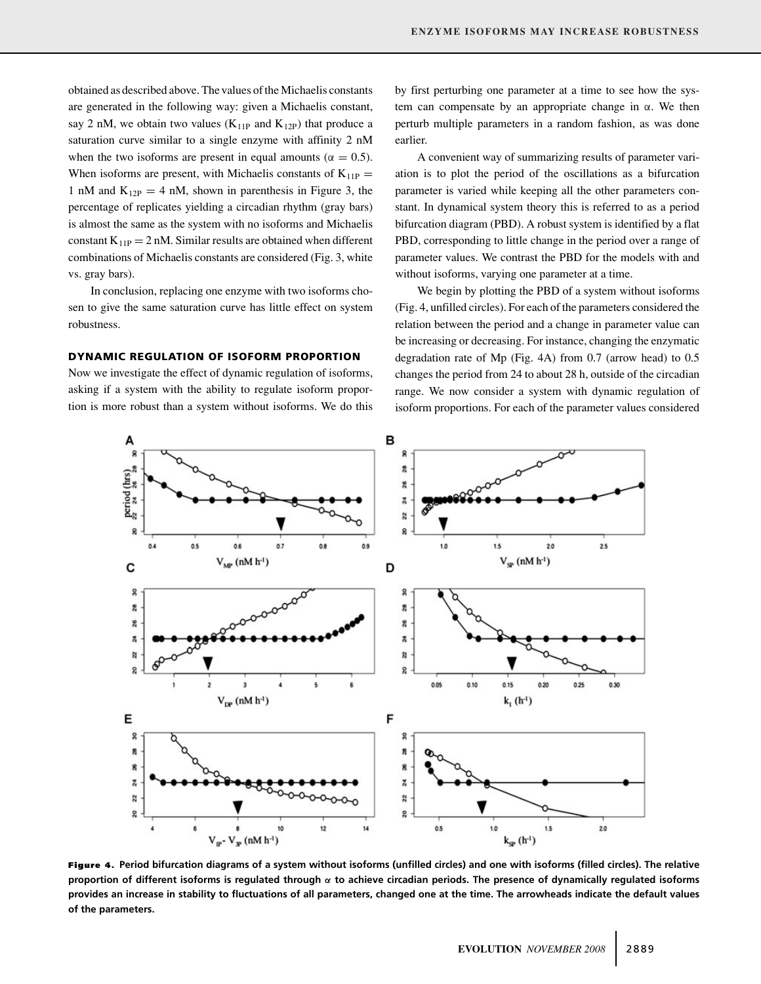obtained as described above. The values of the Michaelis constants are generated in the following way: given a Michaelis constant, say 2 nM, we obtain two values  $(K_{11P}$  and  $K_{12P})$  that produce a saturation curve similar to a single enzyme with affinity 2 nM when the two isoforms are present in equal amounts ( $\alpha = 0.5$ ). When isoforms are present, with Michaelis constants of  $K_{11P} =$ 1 nM and  $K_{12P} = 4$  nM, shown in parenthesis in Figure 3, the percentage of replicates yielding a circadian rhythm (gray bars) is almost the same as the system with no isoforms and Michaelis constant  $K_{11P} = 2$  nM. Similar results are obtained when different combinations of Michaelis constants are considered (Fig. 3, white vs. gray bars).

In conclusion, replacing one enzyme with two isoforms chosen to give the same saturation curve has little effect on system robustness.

#### DYNAMIC REGULATION OF ISOFORM PROPORTION

Now we investigate the effect of dynamic regulation of isoforms, asking if a system with the ability to regulate isoform proportion is more robust than a system without isoforms. We do this by first perturbing one parameter at a time to see how the system can compensate by an appropriate change in  $\alpha$ . We then perturb multiple parameters in a random fashion, as was done earlier.

A convenient way of summarizing results of parameter variation is to plot the period of the oscillations as a bifurcation parameter is varied while keeping all the other parameters constant. In dynamical system theory this is referred to as a period bifurcation diagram (PBD). A robust system is identified by a flat PBD, corresponding to little change in the period over a range of parameter values. We contrast the PBD for the models with and without isoforms, varying one parameter at a time.

We begin by plotting the PBD of a system without isoforms (Fig. 4, unfilled circles). For each of the parameters considered the relation between the period and a change in parameter value can be increasing or decreasing. For instance, changing the enzymatic degradation rate of Mp (Fig. 4A) from 0.7 (arrow head) to 0.5 changes the period from 24 to about 28 h, outside of the circadian range. We now consider a system with dynamic regulation of isoform proportions. For each of the parameter values considered



Figure 4. **Period bifurcation diagrams of a system without isoforms (unfilled circles) and one with isoforms (filled circles). The relative proportion of different isoforms is regulated through α to achieve circadian periods. The presence of dynamically regulated isoforms provides an increase in stability to fluctuations of all parameters, changed one at the time. The arrowheads indicate the default values of the parameters.**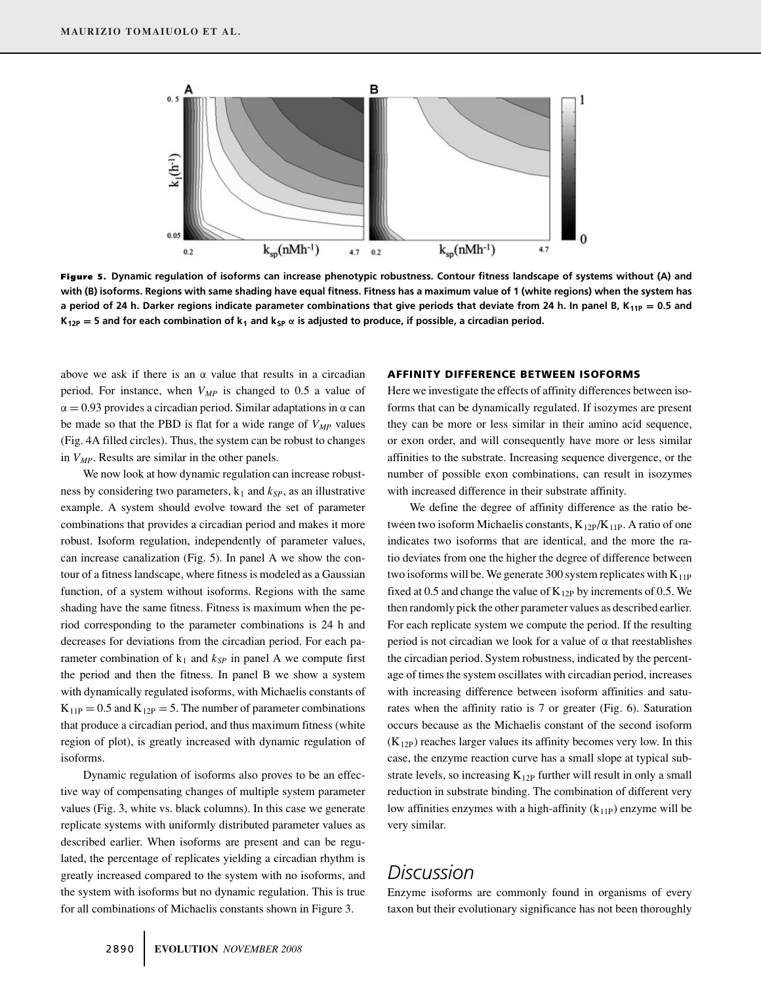

Figure 5. **Dynamic regulation of isoforms can increase phenotypic robustness. Contour fitness landscape of systems without (A) and with (B) isoforms. Regions with same shading have equal fitness. Fitness has a maximum value of 1 (white regions) when the system has** a period of 24 h. Darker regions indicate parameter combinations that give periods that deviate from 24 h. In panel B, K<sub>11P</sub> = 0.5 and  $K_{12P}$  = 5 and for each combination of  $k_1$  and  $k_{SP} \alpha$  is adjusted to produce, if possible, a circadian period.

above we ask if there is an  $\alpha$  value that results in a circadian period. For instance, when  $V_{MP}$  is changed to 0.5 a value of  $\alpha = 0.93$  provides a circadian period. Similar adaptations in  $\alpha$  can be made so that the PBD is flat for a wide range of  $V_{MP}$  values (Fig. 4A filled circles). Thus, the system can be robust to changes in *VMP*. Results are similar in the other panels.

We now look at how dynamic regulation can increase robustness by considering two parameters,  $k_1$  and  $k_{SP}$ , as an illustrative example. A system should evolve toward the set of parameter combinations that provides a circadian period and makes it more robust. Isoform regulation, independently of parameter values, can increase canalization (Fig. 5). In panel A we show the contour of a fitness landscape, where fitness is modeled as a Gaussian function, of a system without isoforms. Regions with the same shading have the same fitness. Fitness is maximum when the period corresponding to the parameter combinations is 24 h and decreases for deviations from the circadian period. For each parameter combination of  $k_1$  and  $k_{SP}$  in panel A we compute first the period and then the fitness. In panel B we show a system with dynamically regulated isoforms, with Michaelis constants of  $K_{11P} = 0.5$  and  $K_{12P} = 5$ . The number of parameter combinations that produce a circadian period, and thus maximum fitness (white region of plot), is greatly increased with dynamic regulation of isoforms.

Dynamic regulation of isoforms also proves to be an effective way of compensating changes of multiple system parameter values (Fig. 3, white vs. black columns). In this case we generate replicate systems with uniformly distributed parameter values as described earlier. When isoforms are present and can be regulated, the percentage of replicates yielding a circadian rhythm is greatly increased compared to the system with no isoforms, and the system with isoforms but no dynamic regulation. This is true for all combinations of Michaelis constants shown in Figure 3.

#### AFFINITY DIFFERENCE BETWEEN ISOFORMS

Here we investigate the effects of affinity differences between isoforms that can be dynamically regulated. If isozymes are present they can be more or less similar in their amino acid sequence, or exon order, and will consequently have more or less similar affinities to the substrate. Increasing sequence divergence, or the number of possible exon combinations, can result in isozymes with increased difference in their substrate affinity.

We define the degree of affinity difference as the ratio between two isoform Michaelis constants,  $K_{12P}/K_{11P}$ . A ratio of one indicates two isoforms that are identical, and the more the ratio deviates from one the higher the degree of difference between two isoforms will be. We generate 300 system replicates with  $K_{11P}$ fixed at 0.5 and change the value of  $K_{12P}$  by increments of 0.5. We then randomly pick the other parameter values as described earlier. For each replicate system we compute the period. If the resulting period is not circadian we look for a value of  $\alpha$  that reestablishes the circadian period. System robustness, indicated by the percentage of times the system oscillates with circadian period, increases with increasing difference between isoform affinities and saturates when the affinity ratio is 7 or greater (Fig. 6). Saturation occurs because as the Michaelis constant of the second isoform  $(K_{12P})$  reaches larger values its affinity becomes very low. In this case, the enzyme reaction curve has a small slope at typical substrate levels, so increasing  $K_{12P}$  further will result in only a small reduction in substrate binding. The combination of different very low affinities enzymes with a high-affinity  $(k_{11P})$  enzyme will be very similar.

## *Discussion*

Enzyme isoforms are commonly found in organisms of every taxon but their evolutionary significance has not been thoroughly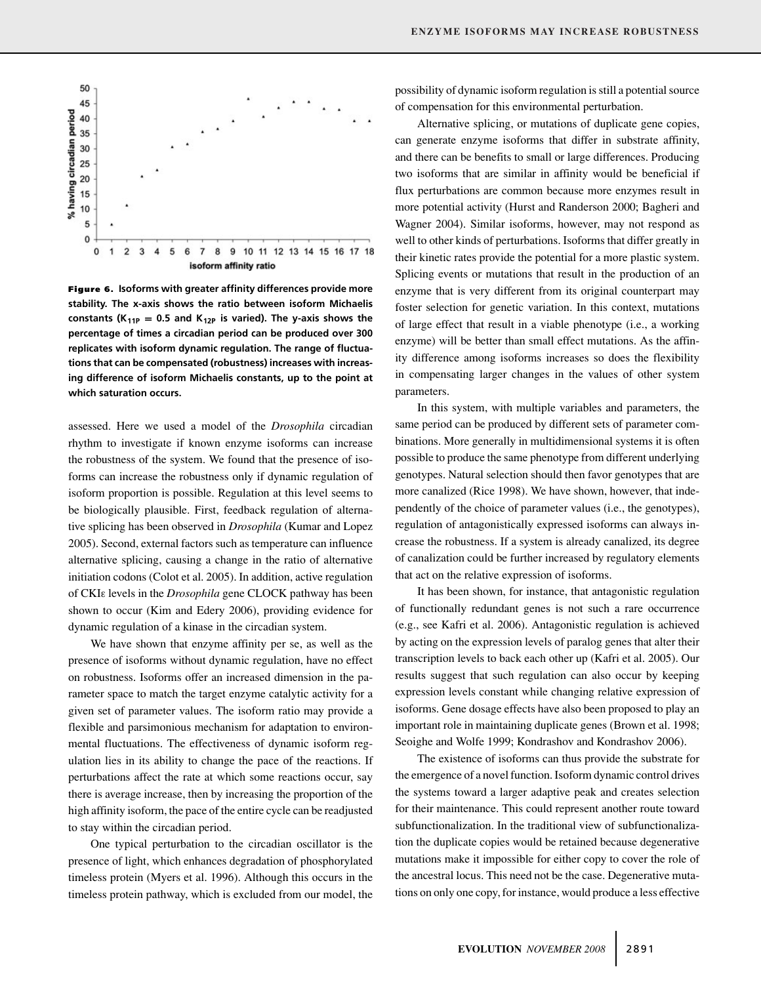

Figure 6. **Isoforms with greater affinity differences provide more stability. The x-axis shows the ratio between isoform Michaelis** constants ( $K_{11P} = 0.5$  and  $K_{12P}$  is varied). The y-axis shows the **percentage of times a circadian period can be produced over 300 replicates with isoform dynamic regulation. The range of fluctuations that can be compensated (robustness) increases with increasing difference of isoform Michaelis constants, up to the point at which saturation occurs.**

assessed. Here we used a model of the *Drosophila* circadian rhythm to investigate if known enzyme isoforms can increase the robustness of the system. We found that the presence of isoforms can increase the robustness only if dynamic regulation of isoform proportion is possible. Regulation at this level seems to be biologically plausible. First, feedback regulation of alternative splicing has been observed in *Drosophila* (Kumar and Lopez 2005). Second, external factors such as temperature can influence alternative splicing, causing a change in the ratio of alternative initiation codons (Colot et al. 2005). In addition, active regulation of CKIε levels in the *Drosophila* gene CLOCK pathway has been shown to occur (Kim and Edery 2006), providing evidence for dynamic regulation of a kinase in the circadian system.

We have shown that enzyme affinity per se, as well as the presence of isoforms without dynamic regulation, have no effect on robustness. Isoforms offer an increased dimension in the parameter space to match the target enzyme catalytic activity for a given set of parameter values. The isoform ratio may provide a flexible and parsimonious mechanism for adaptation to environmental fluctuations. The effectiveness of dynamic isoform regulation lies in its ability to change the pace of the reactions. If perturbations affect the rate at which some reactions occur, say there is average increase, then by increasing the proportion of the high affinity isoform, the pace of the entire cycle can be readjusted to stay within the circadian period.

One typical perturbation to the circadian oscillator is the presence of light, which enhances degradation of phosphorylated timeless protein (Myers et al. 1996). Although this occurs in the timeless protein pathway, which is excluded from our model, the possibility of dynamic isoform regulation is still a potential source of compensation for this environmental perturbation.

Alternative splicing, or mutations of duplicate gene copies, can generate enzyme isoforms that differ in substrate affinity, and there can be benefits to small or large differences. Producing two isoforms that are similar in affinity would be beneficial if flux perturbations are common because more enzymes result in more potential activity (Hurst and Randerson 2000; Bagheri and Wagner 2004). Similar isoforms, however, may not respond as well to other kinds of perturbations. Isoforms that differ greatly in their kinetic rates provide the potential for a more plastic system. Splicing events or mutations that result in the production of an enzyme that is very different from its original counterpart may foster selection for genetic variation. In this context, mutations of large effect that result in a viable phenotype (i.e., a working enzyme) will be better than small effect mutations. As the affinity difference among isoforms increases so does the flexibility in compensating larger changes in the values of other system parameters.

In this system, with multiple variables and parameters, the same period can be produced by different sets of parameter combinations. More generally in multidimensional systems it is often possible to produce the same phenotype from different underlying genotypes. Natural selection should then favor genotypes that are more canalized (Rice 1998). We have shown, however, that independently of the choice of parameter values (i.e., the genotypes), regulation of antagonistically expressed isoforms can always increase the robustness. If a system is already canalized, its degree of canalization could be further increased by regulatory elements that act on the relative expression of isoforms.

It has been shown, for instance, that antagonistic regulation of functionally redundant genes is not such a rare occurrence (e.g., see Kafri et al. 2006). Antagonistic regulation is achieved by acting on the expression levels of paralog genes that alter their transcription levels to back each other up (Kafri et al. 2005). Our results suggest that such regulation can also occur by keeping expression levels constant while changing relative expression of isoforms. Gene dosage effects have also been proposed to play an important role in maintaining duplicate genes (Brown et al. 1998; Seoighe and Wolfe 1999; Kondrashov and Kondrashov 2006).

The existence of isoforms can thus provide the substrate for the emergence of a novel function. Isoform dynamic control drives the systems toward a larger adaptive peak and creates selection for their maintenance. This could represent another route toward subfunctionalization. In the traditional view of subfunctionalization the duplicate copies would be retained because degenerative mutations make it impossible for either copy to cover the role of the ancestral locus. This need not be the case. Degenerative mutations on only one copy, for instance, would produce a less effective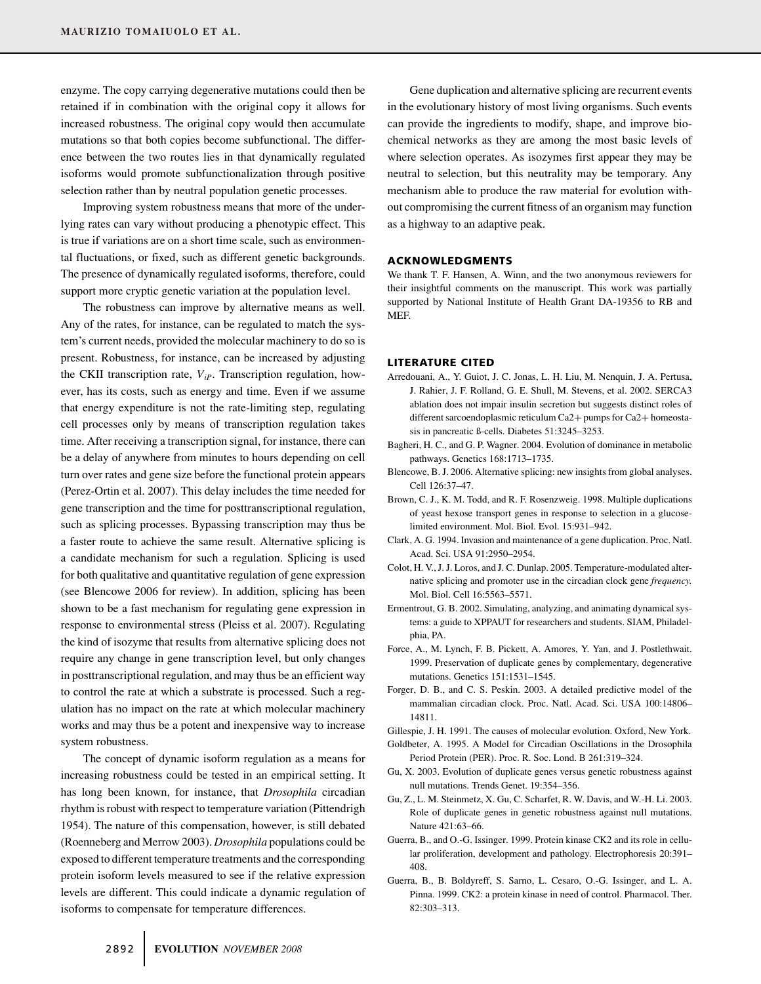enzyme. The copy carrying degenerative mutations could then be retained if in combination with the original copy it allows for increased robustness. The original copy would then accumulate mutations so that both copies become subfunctional. The difference between the two routes lies in that dynamically regulated isoforms would promote subfunctionalization through positive selection rather than by neutral population genetic processes.

Improving system robustness means that more of the underlying rates can vary without producing a phenotypic effect. This is true if variations are on a short time scale, such as environmental fluctuations, or fixed, such as different genetic backgrounds. The presence of dynamically regulated isoforms, therefore, could support more cryptic genetic variation at the population level.

The robustness can improve by alternative means as well. Any of the rates, for instance, can be regulated to match the system's current needs, provided the molecular machinery to do so is present. Robustness, for instance, can be increased by adjusting the CKII transcription rate, *ViP*. Transcription regulation, however, has its costs, such as energy and time. Even if we assume that energy expenditure is not the rate-limiting step, regulating cell processes only by means of transcription regulation takes time. After receiving a transcription signal, for instance, there can be a delay of anywhere from minutes to hours depending on cell turn over rates and gene size before the functional protein appears (Perez-Ortin et al. 2007). This delay includes the time needed for gene transcription and the time for posttranscriptional regulation, such as splicing processes. Bypassing transcription may thus be a faster route to achieve the same result. Alternative splicing is a candidate mechanism for such a regulation. Splicing is used for both qualitative and quantitative regulation of gene expression (see Blencowe 2006 for review). In addition, splicing has been shown to be a fast mechanism for regulating gene expression in response to environmental stress (Pleiss et al. 2007). Regulating the kind of isozyme that results from alternative splicing does not require any change in gene transcription level, but only changes in posttranscriptional regulation, and may thus be an efficient way to control the rate at which a substrate is processed. Such a regulation has no impact on the rate at which molecular machinery works and may thus be a potent and inexpensive way to increase system robustness.

The concept of dynamic isoform regulation as a means for increasing robustness could be tested in an empirical setting. It has long been known, for instance, that *Drosophila* circadian rhythm is robust with respect to temperature variation (Pittendrigh 1954). The nature of this compensation, however, is still debated (Roenneberg and Merrow 2003). *Drosophila* populations could be exposed to different temperature treatments and the corresponding protein isoform levels measured to see if the relative expression levels are different. This could indicate a dynamic regulation of isoforms to compensate for temperature differences.

Gene duplication and alternative splicing are recurrent events in the evolutionary history of most living organisms. Such events can provide the ingredients to modify, shape, and improve biochemical networks as they are among the most basic levels of where selection operates. As isozymes first appear they may be neutral to selection, but this neutrality may be temporary. Any mechanism able to produce the raw material for evolution without compromising the current fitness of an organism may function as a highway to an adaptive peak.

#### ACKNOWLEDGMENTS

We thank T. F. Hansen, A. Winn, and the two anonymous reviewers for their insightful comments on the manuscript. This work was partially supported by National Institute of Health Grant DA-19356 to RB and MEF.

#### LITERATURE CITED

- Arredouani, A., Y. Guiot, J. C. Jonas, L. H. Liu, M. Nenquin, J. A. Pertusa, J. Rahier, J. F. Rolland, G. E. Shull, M. Stevens, et al. 2002. SERCA3 ablation does not impair insulin secretion but suggests distinct roles of different sarcoendoplasmic reticulum Ca2+ pumps for Ca2+ homeostasis in pancreatic ß-cells. Diabetes 51:3245–3253.
- Bagheri, H. C., and G. P. Wagner. 2004. Evolution of dominance in metabolic pathways. Genetics 168:1713–1735.
- Blencowe, B. J. 2006. Alternative splicing: new insights from global analyses. Cell 126:37–47.
- Brown, C. J., K. M. Todd, and R. F. Rosenzweig. 1998. Multiple duplications of yeast hexose transport genes in response to selection in a glucoselimited environment. Mol. Biol. Evol. 15:931–942.
- Clark, A. G. 1994. Invasion and maintenance of a gene duplication. Proc. Natl. Acad. Sci. USA 91:2950–2954.
- Colot, H. V., J. J. Loros, and J. C. Dunlap. 2005. Temperature-modulated alternative splicing and promoter use in the circadian clock gene *frequency.* Mol. Biol. Cell 16:5563–5571.
- Ermentrout, G. B. 2002. Simulating, analyzing, and animating dynamical systems: a guide to XPPAUT for researchers and students. SIAM, Philadelphia, PA.
- Force, A., M. Lynch, F. B. Pickett, A. Amores, Y. Yan, and J. Postlethwait. 1999. Preservation of duplicate genes by complementary, degenerative mutations. Genetics 151:1531–1545.
- Forger, D. B., and C. S. Peskin. 2003. A detailed predictive model of the mammalian circadian clock. Proc. Natl. Acad. Sci. USA 100:14806– 14811.
- Gillespie, J. H. 1991. The causes of molecular evolution. Oxford, New York.
- Goldbeter, A. 1995. A Model for Circadian Oscillations in the Drosophila Period Protein (PER). Proc. R. Soc. Lond. B 261:319–324.
- Gu, X. 2003. Evolution of duplicate genes versus genetic robustness against null mutations. Trends Genet. 19:354–356.
- Gu, Z., L. M. Steinmetz, X. Gu, C. Scharfet, R. W. Davis, and W.-H. Li. 2003. Role of duplicate genes in genetic robustness against null mutations. Nature 421:63–66.
- Guerra, B., and O.-G. Issinger. 1999. Protein kinase CK2 and its role in cellular proliferation, development and pathology. Electrophoresis 20:391– 408.
- Guerra, B., B. Boldyreff, S. Sarno, L. Cesaro, O.-G. Issinger, and L. A. Pinna. 1999. CK2: a protein kinase in need of control. Pharmacol. Ther. 82:303–313.